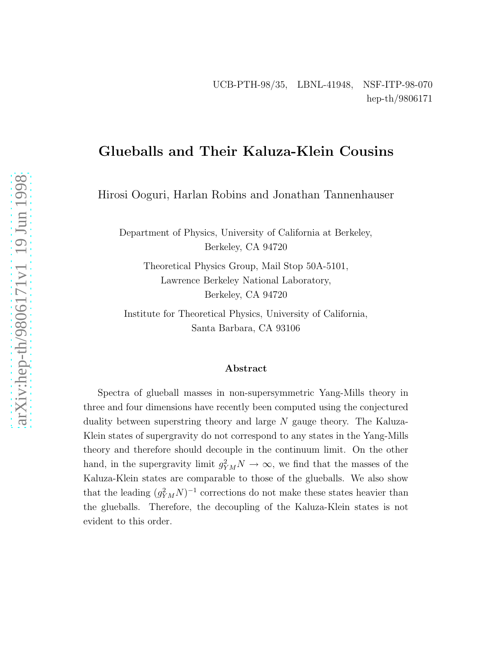# Glueballs and Their Kaluza-Klein Cousins

Hirosi Ooguri, Harlan Robins and Jonathan Tannenhauser

Department of Physics, University of California at Berkeley, Berkeley, CA 94720

Theoretical Physics Group, Mail Stop 50A-5101, Lawrence Berkeley National Laboratory, Berkeley, CA 94720

Institute for Theoretical Physics, University of California, Santa Barbara, CA 93106

#### Abstract

Spectra of glueball masses in non-supersymmetric Yang-Mills theory in three and four dimensions have recently been computed using the conjectured duality between superstring theory and large N gauge theory. The Kaluza-Klein states of supergravity do not correspond to any states in the Yang-Mills theory and therefore should decouple in the continuum limit. On the other hand, in the supergravity limit  $g_{YM}^2 N \to \infty$ , we find that the masses of the Kaluza-Klein states are comparable to those of the glueballs. We also show that the leading  $(g_{YM}^2 N)^{-1}$  corrections do not make these states heavier than the glueballs. Therefore, the decoupling of the Kaluza-Klein states is not evident to this order.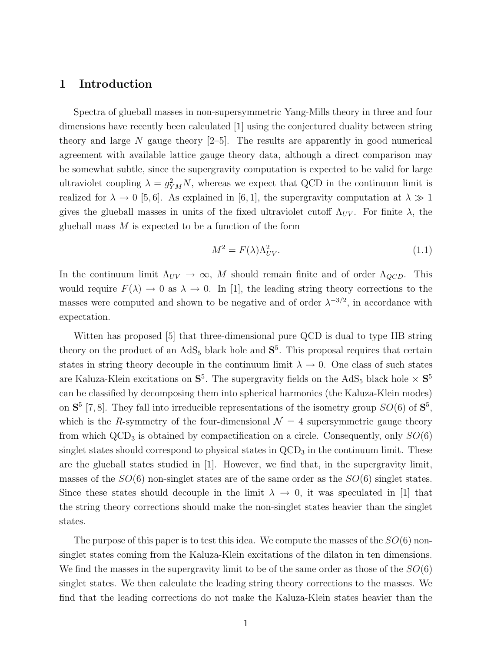### 1 Introduction

Spectra of glueball masses in non-supersymmetric Yang-Mills theory in three and four dimensions have recently been calculated [1] using the conjectured duality between string theory and large N gauge theory  $[2-5]$ . The results are apparently in good numerical agreement with available lattice gauge theory data, although a direct comparison may be somewhat subtle, since the supergravity computation is expected to be valid for large ultraviolet coupling  $\lambda = g_{YM}^2 N$ , whereas we expect that QCD in the continuum limit is realized for  $\lambda \to 0$  [5,6]. As explained in [6,1], the supergravity computation at  $\lambda \gg 1$ gives the glueball masses in units of the fixed ultraviolet cutoff  $\Lambda_{UV}$ . For finite  $\lambda$ , the glueball mass  $M$  is expected to be a function of the form

$$
M^2 = F(\lambda)\Lambda_{UV}^2.
$$
\n(1.1)

In the continuum limit  $\Lambda_{UV} \to \infty$ , M should remain finite and of order  $\Lambda_{QCD}$ . This would require  $F(\lambda) \to 0$  as  $\lambda \to 0$ . In [1], the leading string theory corrections to the masses were computed and shown to be negative and of order  $\lambda^{-3/2}$ , in accordance with expectation.

Witten has proposed [5] that three-dimensional pure QCD is dual to type IIB string theory on the product of an  $AdS_5$  black hole and  $S^5$ . This proposal requires that certain states in string theory decouple in the continuum limit  $\lambda \to 0$ . One class of such states are Kaluza-Klein excitations on  $S^5$ . The supergravity fields on the AdS<sub>5</sub> black hole  $\times S^5$ can be classified by decomposing them into spherical harmonics (the Kaluza-Klein modes) on  $S^5$  [7,8]. They fall into irreducible representations of the isometry group  $SO(6)$  of  $S^5$ , which is the R-symmetry of the four-dimensional  $\mathcal{N} = 4$  supersymmetric gauge theory from which  $\text{QCD}_3$  is obtained by compactification on a circle. Consequently, only  $SO(6)$ singlet states should correspond to physical states in  $\text{QCD}_3$  in the continuum limit. These are the glueball states studied in [1]. However, we find that, in the supergravity limit, masses of the  $SO(6)$  non-singlet states are of the same order as the  $SO(6)$  singlet states. Since these states should decouple in the limit  $\lambda \to 0$ , it was speculated in [1] that the string theory corrections should make the non-singlet states heavier than the singlet states.

The purpose of this paper is to test this idea. We compute the masses of the  $SO(6)$  nonsinglet states coming from the Kaluza-Klein excitations of the dilaton in ten dimensions. We find the masses in the supergravity limit to be of the same order as those of the  $SO(6)$ singlet states. We then calculate the leading string theory corrections to the masses. We find that the leading corrections do not make the Kaluza-Klein states heavier than the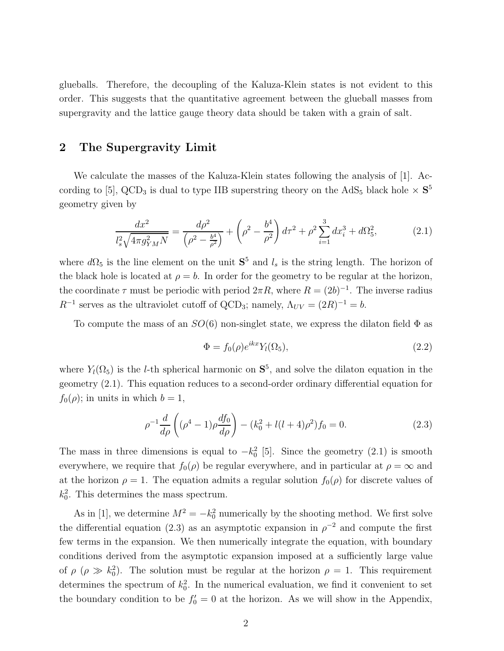glueballs. Therefore, the decoupling of the Kaluza-Klein states is not evident to this order. This suggests that the quantitative agreement between the glueball masses from supergravity and the lattice gauge theory data should be taken with a grain of salt.

### 2 The Supergravity Limit

We calculate the masses of the Kaluza-Klein states following the analysis of [1]. According to [5], QCD<sub>3</sub> is dual to type IIB superstring theory on the AdS<sub>5</sub> black hole  $\times S^5$ geometry given by

$$
\frac{dx^2}{l_s^2 \sqrt{4\pi g_{YM}^2 N}} = \frac{d\rho^2}{\left(\rho^2 - \frac{b^4}{\rho^2}\right)} + \left(\rho^2 - \frac{b^4}{\rho^2}\right)d\tau^2 + \rho^2 \sum_{i=1}^3 dx_i^3 + d\Omega_5^2,\tag{2.1}
$$

where  $d\Omega_5$  is the line element on the unit  $S^5$  and  $l_s$  is the string length. The horizon of the black hole is located at  $\rho = b$ . In order for the geometry to be regular at the horizon, the coordinate  $\tau$  must be periodic with period  $2\pi R$ , where  $R = (2b)^{-1}$ . The inverse radius  $R^{-1}$  serves as the ultraviolet cutoff of QCD<sub>3</sub>; namely,  $\Lambda_{UV} = (2R)^{-1} = b$ .

To compute the mass of an  $SO(6)$  non-singlet state, we express the dilaton field  $\Phi$  as

$$
\Phi = f_0(\rho)e^{ikx}Y_l(\Omega_5),\tag{2.2}
$$

where  $Y_l(\Omega_5)$  is the *l*-th spherical harmonic on  $S^5$ , and solve the dilaton equation in the geometry (2.1). This equation reduces to a second-order ordinary differential equation for  $f_0(\rho)$ ; in units in which  $b=1$ ,

$$
\rho^{-1} \frac{d}{d\rho} \left( (\rho^4 - 1) \rho \frac{df_0}{d\rho} \right) - (k_0^2 + l(l+4)\rho^2) f_0 = 0. \tag{2.3}
$$

The mass in three dimensions is equal to  $-k_0^2$  [5]. Since the geometry (2.1) is smooth everywhere, we require that  $f_0(\rho)$  be regular everywhere, and in particular at  $\rho = \infty$  and at the horizon  $\rho = 1$ . The equation admits a regular solution  $f_0(\rho)$  for discrete values of  $k_0^2$ . This determines the mass spectrum.

As in [1], we determine  $M^2 = -k_0^2$  numerically by the shooting method. We first solve the differential equation (2.3) as an asymptotic expansion in  $\rho^{-2}$  and compute the first few terms in the expansion. We then numerically integrate the equation, with boundary conditions derived from the asymptotic expansion imposed at a sufficiently large value of  $\rho$  ( $\rho \gg k_0^2$ ). The solution must be regular at the horizon  $\rho = 1$ . This requirement determines the spectrum of  $k_0^2$ . In the numerical evaluation, we find it convenient to set the boundary condition to be  $f_0' = 0$  at the horizon. As we will show in the Appendix,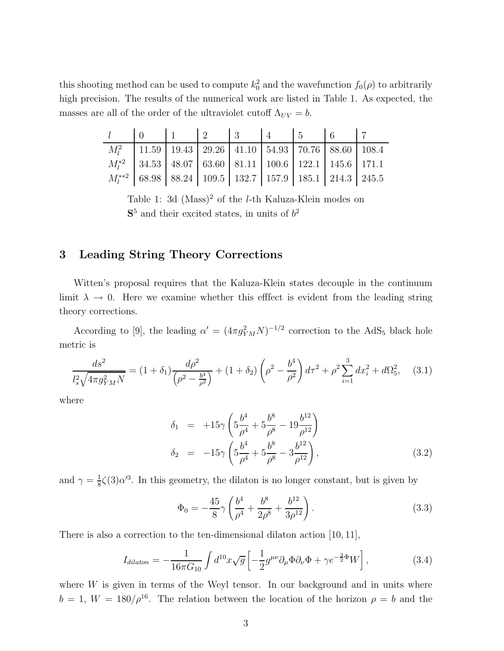this shooting method can be used to compute  $k_0^2$  and the wavefunction  $f_0(\rho)$  to arbitrarily high precision. The results of the numerical work are listed in Table 1. As expected, the masses are all of the order of the ultraviolet cutoff  $\Lambda_{UV} = b$ .

| $l \begin{array}{c cccccc} l & 0 & 1 & 2 & 3 & 4 & 5 & 6 & 7 \end{array}$ |  |  |  |                                                                             |  |
|---------------------------------------------------------------------------|--|--|--|-----------------------------------------------------------------------------|--|
|                                                                           |  |  |  | $M_l^2$   11.59   19.43   29.26   41.10   54.93   70.76   88.60   108.4     |  |
|                                                                           |  |  |  | $M_1^{*2}$   34.53   48.07   63.60   81.11   100.6   122.1   145.6   171.1  |  |
|                                                                           |  |  |  | $M_1^{**2}$   68.98   88.24   109.5   132.7   157.9   185.1   214.3   245.5 |  |

Table 1: 3d  $(Mass)^2$  of the *l*-th Kaluza-Klein modes on  $S<sup>5</sup>$  and their excited states, in units of  $b<sup>2</sup>$ 

## 3 Leading String Theory Corrections

Witten's proposal requires that the Kaluza-Klein states decouple in the continuum limit  $\lambda \to 0$ . Here we examine whether this effect is evident from the leading string theory corrections.

According to [9], the leading  $\alpha' = (4\pi g_{YM}^2 N)^{-1/2}$  correction to the AdS<sub>5</sub> black hole metric is

$$
\frac{ds^2}{l_s^2 \sqrt{4\pi g_{YM}^2 N}} = (1 + \delta_1) \frac{d\rho^2}{\left(\rho^2 - \frac{b^4}{\rho^2}\right)} + (1 + \delta_2) \left(\rho^2 - \frac{b^4}{\rho^2}\right) d\tau^2 + \rho^2 \sum_{i=1}^3 dx_i^2 + d\Omega_5^2, \quad (3.1)
$$

where

$$
\delta_1 = +15\gamma \left( 5\frac{b^4}{\rho^4} + 5\frac{b^8}{\rho^8} - 19\frac{b^{12}}{\rho^{12}} \right) \n\delta_2 = -15\gamma \left( 5\frac{b^4}{\rho^4} + 5\frac{b^8}{\rho^8} - 3\frac{b^{12}}{\rho^{12}} \right),
$$
\n(3.2)

and  $\gamma = \frac{1}{8}$  $\frac{1}{8}\zeta(3)\alpha^{3}$ . In this geometry, the dilaton is no longer constant, but is given by

$$
\Phi_0 = -\frac{45}{8}\gamma \left(\frac{b^4}{\rho^4} + \frac{b^8}{2\rho^8} + \frac{b^{12}}{3\rho^{12}}\right). \tag{3.3}
$$

There is also a correction to the ten-dimensional dilaton action [10, 11],

$$
I_{dilaton} = -\frac{1}{16\pi G_{10}} \int d^{10}x \sqrt{g} \left[ -\frac{1}{2} g^{\mu\nu} \partial_{\mu} \Phi \partial_{\nu} \Phi + \gamma e^{-\frac{3}{2}\Phi} W \right], \tag{3.4}
$$

where  $W$  is given in terms of the Weyl tensor. In our background and in units where  $b = 1, W = 180/\rho^{16}$ . The relation between the location of the horizon  $\rho = b$  and the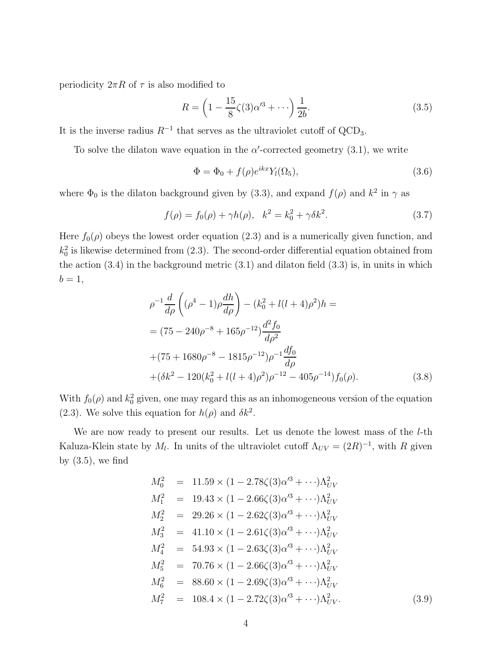periodicity  $2\pi R$  of  $\tau$  is also modified to

$$
R = \left(1 - \frac{15}{8}\zeta(3)\alpha'^3 + \cdots\right)\frac{1}{2b}.\tag{3.5}
$$

It is the inverse radius  $R^{-1}$  that serves as the ultraviolet cutoff of QCD<sub>3</sub>.

To solve the dilaton wave equation in the  $\alpha'$ -corrected geometry (3.1), we write

$$
\Phi = \Phi_0 + f(\rho)e^{ikx}Y_l(\Omega_5),\tag{3.6}
$$

where  $\Phi_0$  is the dilaton background given by (3.3), and expand  $f(\rho)$  and  $k^2$  in  $\gamma$  as

$$
f(\rho) = f_0(\rho) + \gamma h(\rho), \quad k^2 = k_0^2 + \gamma \delta k^2.
$$
 (3.7)

Here  $f_0(\rho)$  obeys the lowest order equation (2.3) and is a numerically given function, and  $k_0^2$  is likewise determined from (2.3). The second-order differential equation obtained from the action  $(3.4)$  in the background metric  $(3.1)$  and dilaton field  $(3.3)$  is, in units in which  $b=1,$ 

$$
\rho^{-1} \frac{d}{d\rho} \left( (\rho^4 - 1) \rho \frac{dh}{d\rho} \right) - (k_0^2 + l(l+4)\rho^2) h =
$$
  
=  $(75 - 240\rho^{-8} + 165\rho^{-12}) \frac{d^2 f_0}{d\rho^2}$   
+  $(75 + 1680\rho^{-8} - 1815\rho^{-12})\rho^{-1} \frac{df_0}{d\rho}$   
+  $(\delta k^2 - 120(k_0^2 + l(l+4)\rho^2)\rho^{-12} - 405\rho^{-14}) f_0(\rho).$  (3.8)

With  $f_0(\rho)$  and  $k_0^2$  given, one may regard this as an inhomogeneous version of the equation (2.3). We solve this equation for  $h(\rho)$  and  $\delta k^2$ .

We are now ready to present our results. Let us denote the lowest mass of the *l*-th Kaluza-Klein state by  $M_l$ . In units of the ultraviolet cutoff  $\Lambda_{UV} = (2R)^{-1}$ , with R given by  $(3.5)$ , we find

$$
M_0^2 = 11.59 \times (1 - 2.78\zeta(3)\alpha'^3 + \cdots)\Lambda_{UV}^2
$$
  
\n
$$
M_1^2 = 19.43 \times (1 - 2.66\zeta(3)\alpha'^3 + \cdots)\Lambda_{UV}^2
$$
  
\n
$$
M_2^2 = 29.26 \times (1 - 2.62\zeta(3)\alpha'^3 + \cdots)\Lambda_{UV}^2
$$
  
\n
$$
M_3^2 = 41.10 \times (1 - 2.61\zeta(3)\alpha'^3 + \cdots)\Lambda_{UV}^2
$$
  
\n
$$
M_4^2 = 54.93 \times (1 - 2.63\zeta(3)\alpha'^3 + \cdots)\Lambda_{UV}^2
$$
  
\n
$$
M_5^2 = 70.76 \times (1 - 2.66\zeta(3)\alpha'^3 + \cdots)\Lambda_{UV}^2
$$
  
\n
$$
M_6^2 = 88.60 \times (1 - 2.69\zeta(3)\alpha'^3 + \cdots)\Lambda_{UV}^2
$$
  
\n
$$
M_7^2 = 108.4 \times (1 - 2.72\zeta(3)\alpha'^3 + \cdots)\Lambda_{UV}^2.
$$
  
\n(3.9)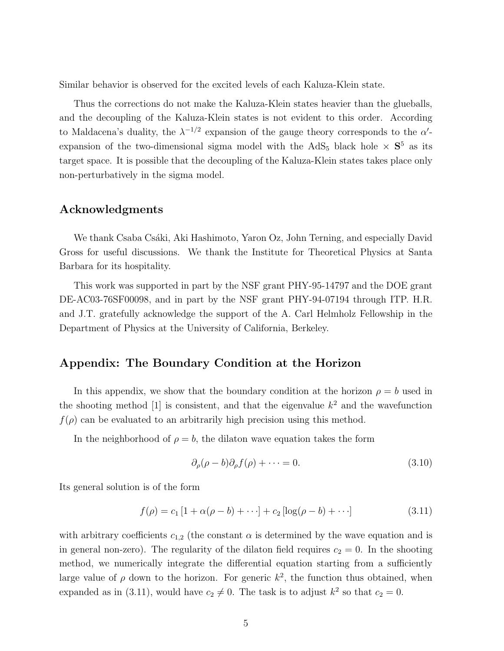Similar behavior is observed for the excited levels of each Kaluza-Klein state.

Thus the corrections do not make the Kaluza-Klein states heavier than the glueballs, and the decoupling of the Kaluza-Klein states is not evident to this order. According to Maldacena's duality, the  $\lambda^{-1/2}$  expansion of the gauge theory corresponds to the  $\alpha'$ expansion of the two-dimensional sigma model with the  $AdS_5$  black hole  $\times S^5$  as its target space. It is possible that the decoupling of the Kaluza-Klein states takes place only non-perturbatively in the sigma model.

### Acknowledgments

We thank Csaba Csáki, Aki Hashimoto, Yaron Oz, John Terning, and especially David Gross for useful discussions. We thank the Institute for Theoretical Physics at Santa Barbara for its hospitality.

This work was supported in part by the NSF grant PHY-95-14797 and the DOE grant DE-AC03-76SF00098, and in part by the NSF grant PHY-94-07194 through ITP. H.R. and J.T. gratefully acknowledge the support of the A. Carl Helmholz Fellowship in the Department of Physics at the University of California, Berkeley.

### Appendix: The Boundary Condition at the Horizon

In this appendix, we show that the boundary condition at the horizon  $\rho = b$  used in the shooting method [1] is consistent, and that the eigenvalue  $k^2$  and the wavefunction  $f(\rho)$  can be evaluated to an arbitrarily high precision using this method.

In the neighborhood of  $\rho = b$ , the dilaton wave equation takes the form

$$
\partial_{\rho}(\rho - b)\partial_{\rho}f(\rho) + \dots = 0. \tag{3.10}
$$

Its general solution is of the form

$$
f(\rho) = c_1 [1 + \alpha(\rho - b) + \cdots] + c_2 [\log(\rho - b) + \cdots]
$$
 (3.11)

with arbitrary coefficients  $c_{1,2}$  (the constant  $\alpha$  is determined by the wave equation and is in general non-zero). The regularity of the dilaton field requires  $c_2 = 0$ . In the shooting method, we numerically integrate the differential equation starting from a sufficiently large value of  $\rho$  down to the horizon. For generic  $k^2$ , the function thus obtained, when expanded as in (3.11), would have  $c_2 \neq 0$ . The task is to adjust  $k^2$  so that  $c_2 = 0$ .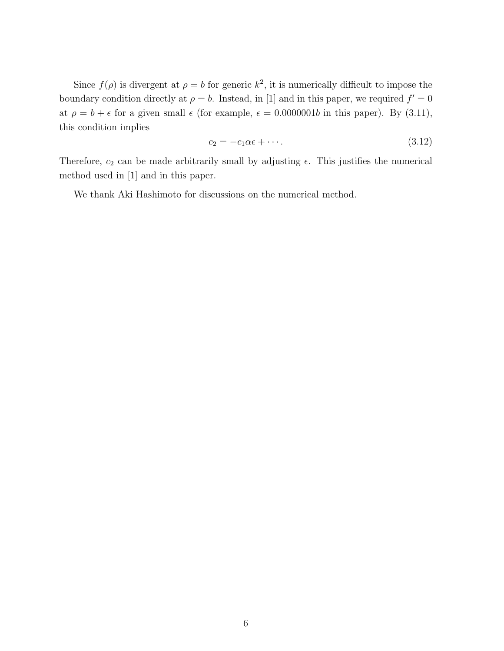Since  $f(\rho)$  is divergent at  $\rho = b$  for generic  $k^2$ , it is numerically difficult to impose the boundary condition directly at  $\rho = b$ . Instead, in [1] and in this paper, we required  $f' = 0$ at  $\rho = b + \epsilon$  for a given small  $\epsilon$  (for example,  $\epsilon = 0.0000001b$  in this paper). By (3.11), this condition implies

$$
c_2 = -c_1 \alpha \epsilon + \cdots. \tag{3.12}
$$

Therefore,  $c_2$  can be made arbitrarily small by adjusting  $\epsilon$ . This justifies the numerical method used in [1] and in this paper.

We thank Aki Hashimoto for discussions on the numerical method.